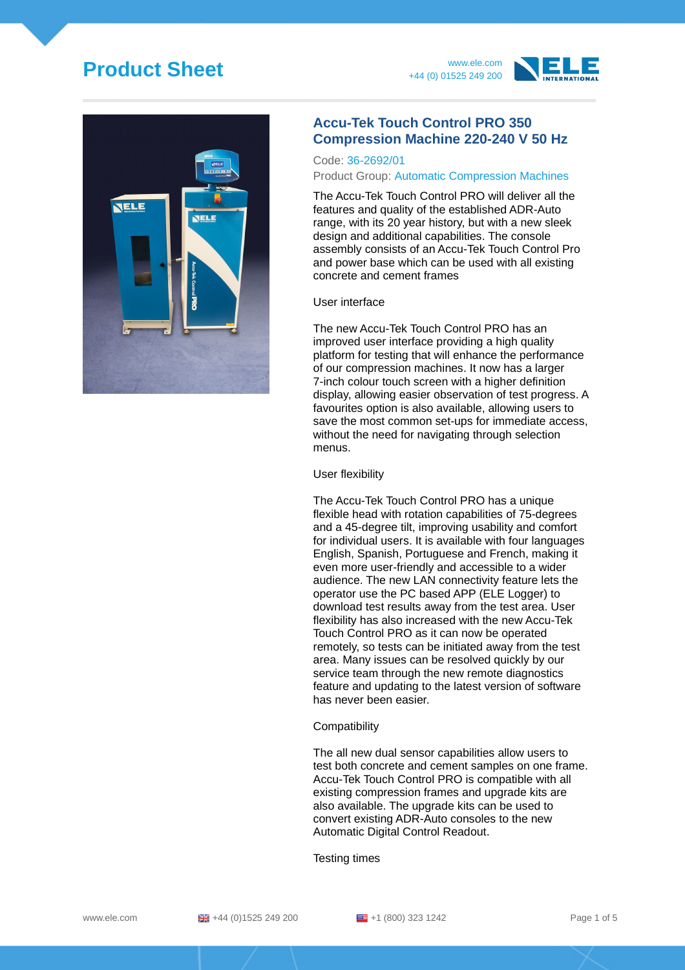# **Product Sheet** www.ele.com







## **Accu-Tek Touch Control PRO 350 Compression Machine 220-240 V 50 Hz**

### Code: 36-2692/01

#### Product Group: Automatic Compression Machines

The Accu-Tek Touch Control PRO will deliver all the features and quality of the established ADR-Auto range, with its 20 year history, but with a new sleek design and additional capabilities. The console assembly consists of an Accu-Tek Touch Control Pro and power base which can be used with all existing concrete and cement frames

### User interface

The new Accu-Tek Touch Control PRO has an improved user interface providing a high quality platform for testing that will enhance the performance of our compression machines. It now has a larger 7-inch colour touch screen with a higher definition display, allowing easier observation of test progress. A favourites option is also available, allowing users to save the most common set-ups for immediate access, without the need for navigating through selection menus.

#### User flexibility

The Accu-Tek Touch Control PRO has a unique flexible head with rotation capabilities of 75-degrees and a 45-degree tilt, improving usability and comfort for individual users. It is available with four languages English, Spanish, Portuguese and French, making it even more user-friendly and accessible to a wider audience. The new LAN connectivity feature lets the operator use the PC based APP (ELE Logger) to download test results away from the test area. User flexibility has also increased with the new Accu-Tek Touch Control PRO as it can now be operated remotely, so tests can be initiated away from the test area. Many issues can be resolved quickly by our service team through the new remote diagnostics feature and updating to the latest version of software has never been easier.

### **Compatibility**

The all new dual sensor capabilities allow users to test both concrete and cement samples on one frame. Accu-Tek Touch Control PRO is compatible with all existing compression frames and upgrade kits are also available. The upgrade kits can be used to convert existing ADR-Auto consoles to the new Automatic Digital Control Readout.

Testing times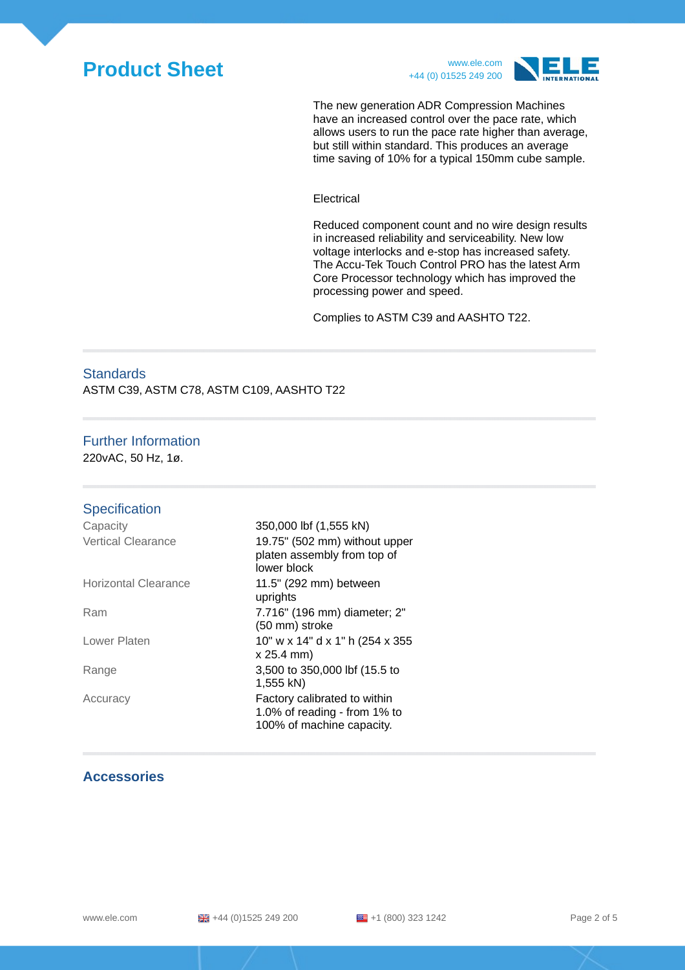



The new generation ADR Compression Machines have an increased control over the pace rate, which allows users to run the pace rate higher than average, but still within standard. This produces an average time saving of 10% for a typical 150mm cube sample.

Electrical

Reduced component count and no wire design results in increased reliability and serviceability. New low voltage interlocks and e-stop has increased safety. The Accu-Tek Touch Control PRO has the latest Arm Core Processor technology which has improved the processing power and speed.

Complies to ASTM C39 and AASHTO T22.

## **Standards**

ASTM C39, ASTM C78, ASTM C109, AASHTO T22

### Further Information

220vAC, 50 Hz, 1ø.

#### **Specification**  $\overline{O}$   $\overline{O}$   $\overline{O}$   $\overline{O}$   $\overline{O}$   $\overline{O}$   $\overline{O}$   $\overline{O}$   $\overline{O}$   $\overline{O}$   $\overline{O}$   $\overline{O}$   $\overline{O}$   $\overline{O}$   $\overline{O}$   $\overline{O}$   $\overline{O}$   $\overline{O}$   $\overline{O}$   $\overline{O}$   $\overline{O}$   $\overline{O}$   $\overline{O}$   $\overline{O}$   $\overline{$

| Capacity                    | (KIN כככ, ב) וטו טטט,טכז                                                                     |
|-----------------------------|----------------------------------------------------------------------------------------------|
| <b>Vertical Clearance</b>   | 19.75" (502 mm) without upper<br>platen assembly from top of<br>lower block                  |
| <b>Horizontal Clearance</b> | 11.5" (292 mm) between<br>uprights                                                           |
| Ram                         | 7.716" (196 mm) diameter; 2"<br>(50 mm) stroke                                               |
| Lower Platen                | 10" w x 14" d x 1" h (254 x 355<br>x 25.4 mm)                                                |
| Range                       | 3,500 to 350,000 lbf (15.5 to<br>1,555 kN)                                                   |
| Accuracy                    | Factory calibrated to within<br>1.0% of reading - from $1\%$ to<br>100% of machine capacity. |

### **Accessories**

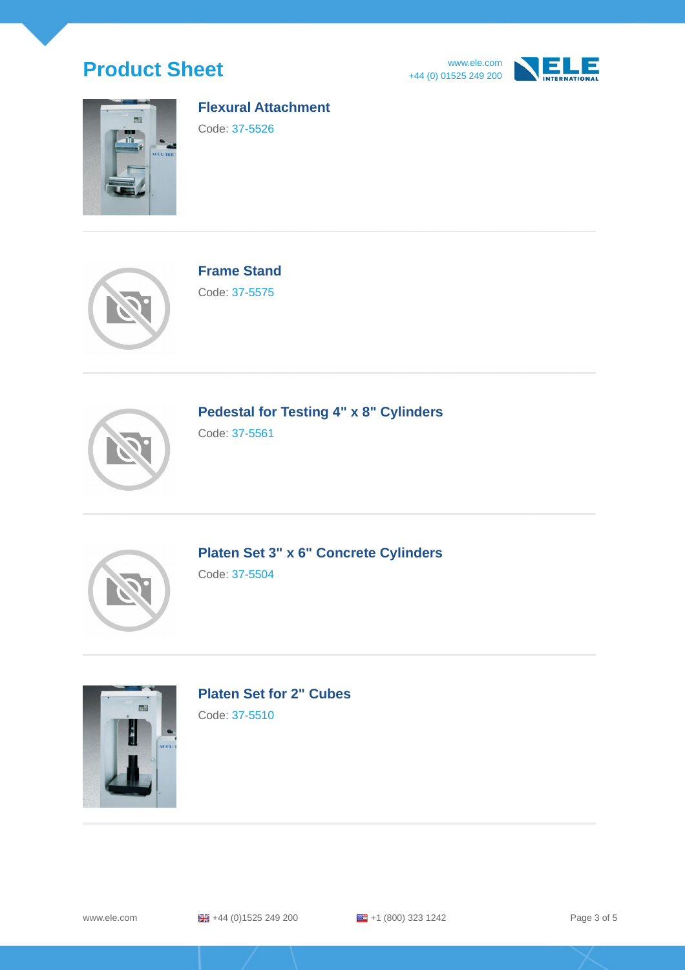







### **Flexural Attachment**

Code: 37-5526



**Frame Stand**

Code: 37-5575



**Pedestal for Testing 4" x 8" Cylinders**

Code: 37-5561



**Platen Set 3" x 6" Concrete Cylinders**

Code: 37-5504



**Platen Set for 2" Cubes**

Code: 37-5510

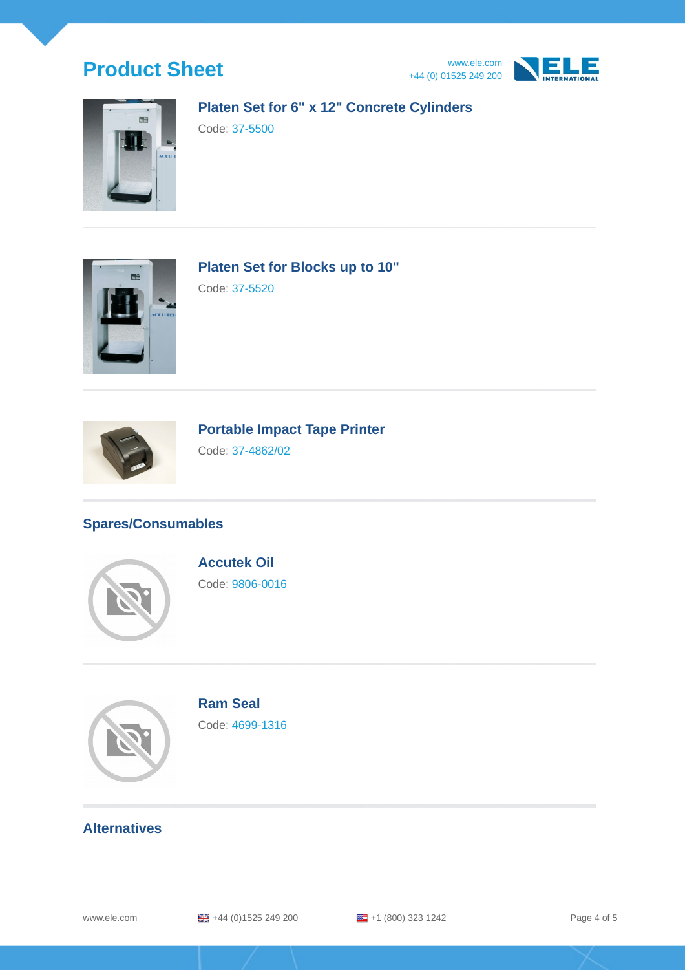





## **Platen Set for 6" x 12" Concrete Cylinders**

Code: 37-5500



**Platen Set for Blocks up to 10"**

Code: 37-5520



**Portable Impact Tape Printer**

Code: 37-4862/02

## **Spares/Consumables**



**Accutek Oil** Code: 9806-0016



**Ram Seal** Code: 4699-1316

## **Alternatives**